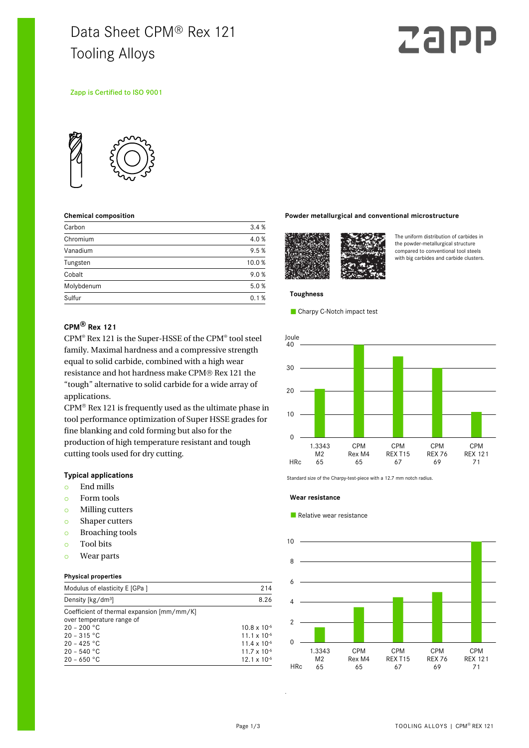## Data Sheet CPM® Rex 121 Tooling Alloys

# Zapp

#### Zapp is Certified to ISO 9001



#### **Chemical composition**

| Carbon     | 3.4%  |
|------------|-------|
| Chromium   | 4.0%  |
| Vanadium   | 9.5%  |
| Tungsten   | 10.0% |
| Cobalt     | 9.0%  |
| Molybdenum | 5.0%  |
| Sulfur     | 0.1%  |

#### **Powder metallurgical and conventional microstructure**



The uniform distribution of carbides in the powder-metallurgical structure compared to conventional tool steels with big carbides and carbide clusters.

### **Toughness**

Charpy C-Notch impact test

#### **CPM® Rex 121**

CPM® Rex 121 is the Super-HSSE of the CPM® tool steel family. Maximal hardness and a compressive strength equal to solid carbide, combined with a high wear resistance and hot hardness make CPM® Rex 121 the "tough" alternative to solid carbide for a wide array of applications.

 $CPM<sup>®</sup>$  Rex 121 is frequently used as the ultimate phase in tool performance optimization of Super HSSE grades for fine blanking and cold forming but also for the production of high temperature resistant and tough cutting tools used for dry cutting.

#### **Typical applications**

- o End mills
- o Form tools
- o Milling cutters
- o Shaper cutters
- o Broaching tools
- o Tool bits
- o Wear parts

#### **Physical properties**

| Modulus of elasticity E [GPa ]                                                                                                                               | 214                                                                                                                       |
|--------------------------------------------------------------------------------------------------------------------------------------------------------------|---------------------------------------------------------------------------------------------------------------------------|
| Density [kg/dm <sup>3</sup> ]                                                                                                                                | 8.26                                                                                                                      |
| Coefficient of thermal expansion [mm/mm/K]<br>over temperature range of<br>$20 - 200 °C$<br>$20 - 315 °C$<br>$20 - 425 °C$<br>$20 - 540 °C$<br>$20 - 650 °C$ | $10.8 \times 10^{-6}$<br>$11.1 \times 10^{-6}$<br>$11.4 \times 10^{-6}$<br>$11.7 \times 10^{-6}$<br>$12.1 \times 10^{-6}$ |



Standard size of the Charpy-test-piece with a 12.7 mm notch radius.

#### **Wear resistance**

#### Relative wear resistance



.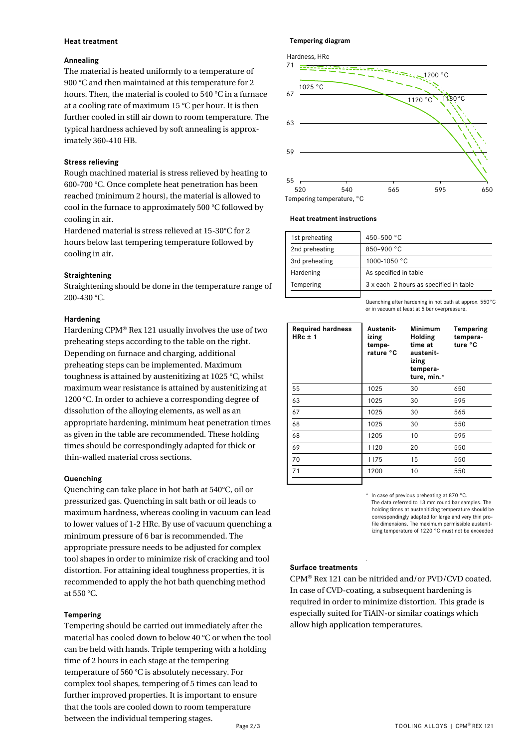#### **Heat treatment**

#### **Annealing**

The material is heated uniformly to a temperature of 900 °C and then maintained at this temperature for 2 hours. Then, the material is cooled to 540 °C in a furnace at a cooling rate of maximum 15 °C per hour. It is then further cooled in still air down to room temperature. The typical hardness achieved by soft annealing is approximately 360-410 HB.

#### **Stress relieving**

Rough machined material is stress relieved by heating to 600-700 °C. Once complete heat penetration has been reached (minimum 2 hours), the material is allowed to cool in the furnace to approximately 500 °C followed by cooling in air.

Hardened material is stress relieved at 15-30°C for 2 hours below last tempering temperature followed by cooling in air.

#### **Straightening**

Straightening should be done in the temperature range of 200-430 °C.

#### **Hardening**

Hardening CPM® Rex 121 usually involves the use of two preheating steps according to the table on the right. Depending on furnace and charging, additional preheating steps can be implemented. Maximum toughness is attained by austenitizing at 1025 °C, whilst maximum wear resistance is attained by austenitizing at 1200 °C. In order to achieve a corresponding degree of dissolution of the alloying elements, as well as an appropriate hardening, minimum heat penetration times as given in the table are recommended. These holding times should be correspondingly adapted for thick or thin-walled material cross sections.

#### **Quenching**

Quenching can take place in hot bath at 540°C, oil or pressurized gas. Quenching in salt bath or oil leads to maximum hardness, whereas cooling in vacuum can lead to lower values of 1-2 HRc. By use of vacuum quenching a minimum pressure of 6 bar is recommended. The appropriate pressure needs to be adjusted for complex tool shapes in order to minimize risk of cracking and tool distortion. For attaining ideal toughness properties, it is recommended to apply the hot bath quenching method at 550 °C.

#### **Tempering**

Tempering should be carried out immediately after the material has cooled down to below 40 °C or when the tool can be held with hands. Triple tempering with a holding time of 2 hours in each stage at the tempering temperature of 560 °C is absolutely necessary. For complex tool shapes, tempering of 5 times can lead to further improved properties. It is important to ensure that the tools are cooled down to room temperature between the individual tempering stages.

#### **Tempering diagram**



#### **Heat treatment instructions**

| 1st preheating | 450-500 °C                             |
|----------------|----------------------------------------|
| 2nd preheating | 850-900 °C                             |
| 3rd preheating | 1000-1050 °C                           |
| Hardening      | As specified in table                  |
| Tempering      | 3 x each 2 hours as specified in table |
|                |                                        |

Quenching after hardening in hot bath at approx. 550°C or in vacuum at least at 5 bar overpressure.

| <b>Required hardness</b><br>$HRC \pm 1$ | Austenit-<br>izing<br>tempe-<br>rature °C | <b>Minimum</b><br>Holding<br>time at<br>austenit-<br>izing<br>tempera-<br>ture, min.* | Tempering<br>tempera-<br>ture °C |
|-----------------------------------------|-------------------------------------------|---------------------------------------------------------------------------------------|----------------------------------|
| 55                                      | 1025                                      | 30                                                                                    | 650                              |
| 63                                      | 1025                                      | 30                                                                                    | 595                              |
| 67                                      | 1025                                      | 30                                                                                    | 565                              |
| 68                                      | 1025                                      | 30                                                                                    | 550                              |
| 68                                      | 1205                                      | 10                                                                                    | 595                              |
| 69                                      | 1120                                      | 20                                                                                    | 550                              |
| 70                                      | 1175                                      | 15                                                                                    | 550                              |
| 71                                      | 1200                                      | 10                                                                                    | 550                              |
|                                         |                                           |                                                                                       |                                  |

In case of previous preheating at 870 °C. The data referred to 13 mm round bar samples. The holding times at austenitizing temperature should be correspondingly adapted for large and very thin profile dimensions. The maximum permissible austenitizing temperature of 1220 °C must not be exceeded

#### **Surface treatments**

CPM<sup>®</sup> Rex 121 can be nitrided and/or PVD/CVD coated. In case of CVD-coating, a subsequent hardening is required in order to minimize distortion. This grade is especially suited for TiAlN-or similar coatings which allow high application temperatures.

.